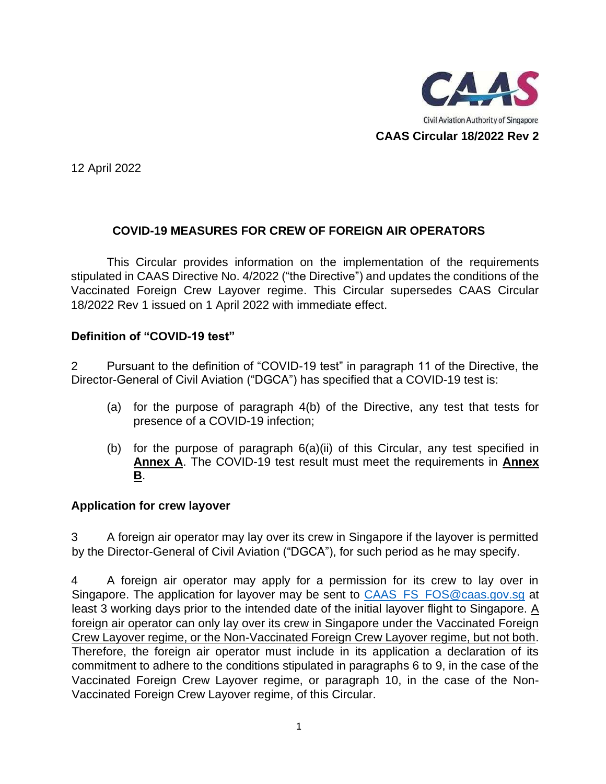

12 April 2022

# **COVID-19 MEASURES FOR CREW OF FOREIGN AIR OPERATORS**

This Circular provides information on the implementation of the requirements stipulated in CAAS Directive No. 4/2022 ("the Directive") and updates the conditions of the Vaccinated Foreign Crew Layover regime. This Circular supersedes CAAS Circular 18/2022 Rev 1 issued on 1 April 2022 with immediate effect.

# **Definition of "COVID-19 test"**

2 Pursuant to the definition of "COVID-19 test" in paragraph 11 of the Directive, the Director-General of Civil Aviation ("DGCA") has specified that a COVID-19 test is:

- (a) for the purpose of paragraph 4(b) of the Directive, any test that tests for presence of a COVID-19 infection;
- (b) for the purpose of paragraph 6(a)(ii) of this Circular, any test specified in **Annex A**. The COVID-19 test result must meet the requirements in **Annex B**.

#### **Application for crew layover**

3 A foreign air operator may lay over its crew in Singapore if the layover is permitted by the Director-General of Civil Aviation ("DGCA"), for such period as he may specify.

4 A foreign air operator may apply for a permission for its crew to lay over in Singapore. The application for layover may be sent to CAAS\_FS\_FOS@caas.gov.sg at least 3 working days prior to the intended date of the initial layover flight to Singapore. A foreign air operator can only lay over its crew in Singapore under the Vaccinated Foreign Crew Layover regime, or the Non-Vaccinated Foreign Crew Layover regime, but not both. Therefore, the foreign air operator must include in its application a declaration of its commitment to adhere to the conditions stipulated in paragraphs 6 to 9, in the case of the Vaccinated Foreign Crew Layover regime, or paragraph 10, in the case of the Non-Vaccinated Foreign Crew Layover regime, of this Circular.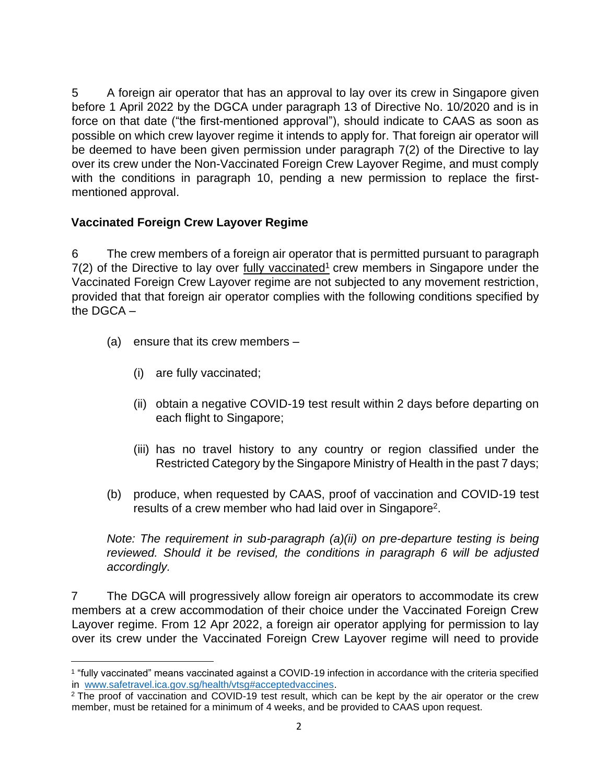5 A foreign air operator that has an approval to lay over its crew in Singapore given before 1 April 2022 by the DGCA under paragraph 13 of Directive No. 10/2020 and is in force on that date ("the first-mentioned approval"), should indicate to CAAS as soon as possible on which crew layover regime it intends to apply for. That foreign air operator will be deemed to have been given permission under paragraph 7(2) of the Directive to lay over its crew under the Non-Vaccinated Foreign Crew Layover Regime, and must comply with the conditions in paragraph 10, pending a new permission to replace the firstmentioned approval.

# **Vaccinated Foreign Crew Layover Regime**

6 The crew members of a foreign air operator that is permitted pursuant to paragraph  $7(2)$  of the Directive to lay over fully vaccinated<sup>1</sup> crew members in Singapore under the Vaccinated Foreign Crew Layover regime are not subjected to any movement restriction, provided that that foreign air operator complies with the following conditions specified by the DGCA –

- (a) ensure that its crew members
	- (i) are fully vaccinated;
	- (ii) obtain a negative COVID-19 test result within 2 days before departing on each flight to Singapore;
	- (iii) has no travel history to any country or region classified under the Restricted Category by the Singapore Ministry of Health in the past 7 days;
- (b) produce, when requested by CAAS, proof of vaccination and COVID-19 test results of a crew member who had laid over in Singapore<sup>2</sup>.

*Note: The requirement in sub-paragraph (a)(ii) on pre-departure testing is being reviewed. Should it be revised, the conditions in paragraph 6 will be adjusted accordingly.*

7 The DGCA will progressively allow foreign air operators to accommodate its crew members at a crew accommodation of their choice under the Vaccinated Foreign Crew Layover regime. From 12 Apr 2022, a foreign air operator applying for permission to lay over its crew under the Vaccinated Foreign Crew Layover regime will need to provide

<sup>1</sup> "fully vaccinated" means vaccinated against a COVID-19 infection in accordance with the criteria specified in [www.safetravel.ica.gov.sg/health/vtsg#acceptedvaccines.](http://www.safetravel.ica.gov.sg/health/vtsg#acceptedvaccines)

<sup>&</sup>lt;sup>2</sup> The proof of vaccination and COVID-19 test result, which can be kept by the air operator or the crew member, must be retained for a minimum of 4 weeks, and be provided to CAAS upon request.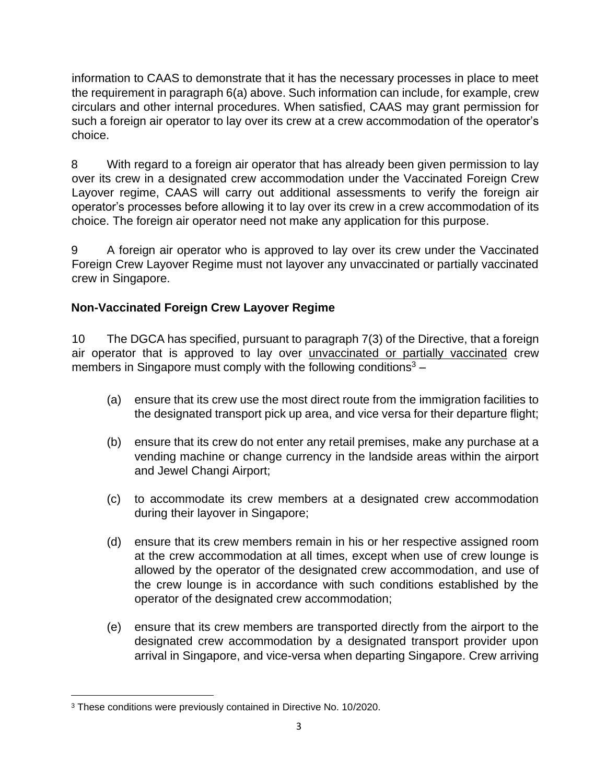information to CAAS to demonstrate that it has the necessary processes in place to meet the requirement in paragraph 6(a) above. Such information can include, for example, crew circulars and other internal procedures. When satisfied, CAAS may grant permission for such a foreign air operator to lay over its crew at a crew accommodation of the operator's choice.

8 With regard to a foreign air operator that has already been given permission to lay over its crew in a designated crew accommodation under the Vaccinated Foreign Crew Layover regime, CAAS will carry out additional assessments to verify the foreign air operator's processes before allowing it to lay over its crew in a crew accommodation of its choice. The foreign air operator need not make any application for this purpose.

9 A foreign air operator who is approved to lay over its crew under the Vaccinated Foreign Crew Layover Regime must not layover any unvaccinated or partially vaccinated crew in Singapore.

# **Non-Vaccinated Foreign Crew Layover Regime**

10 The DGCA has specified, pursuant to paragraph 7(3) of the Directive, that a foreign air operator that is approved to lay over unvaccinated or partially vaccinated crew members in Singapore must comply with the following conditions<sup>3</sup> –

- (a) ensure that its crew use the most direct route from the immigration facilities to the designated transport pick up area, and vice versa for their departure flight;
- (b) ensure that its crew do not enter any retail premises, make any purchase at a vending machine or change currency in the landside areas within the airport and Jewel Changi Airport;
- (c) to accommodate its crew members at a designated crew accommodation during their layover in Singapore;
- (d) ensure that its crew members remain in his or her respective assigned room at the crew accommodation at all times, except when use of crew lounge is allowed by the operator of the designated crew accommodation, and use of the crew lounge is in accordance with such conditions established by the operator of the designated crew accommodation;
- (e) ensure that its crew members are transported directly from the airport to the designated crew accommodation by a designated transport provider upon arrival in Singapore, and vice-versa when departing Singapore. Crew arriving

<sup>&</sup>lt;sup>3</sup> These conditions were previously contained in Directive No. 10/2020.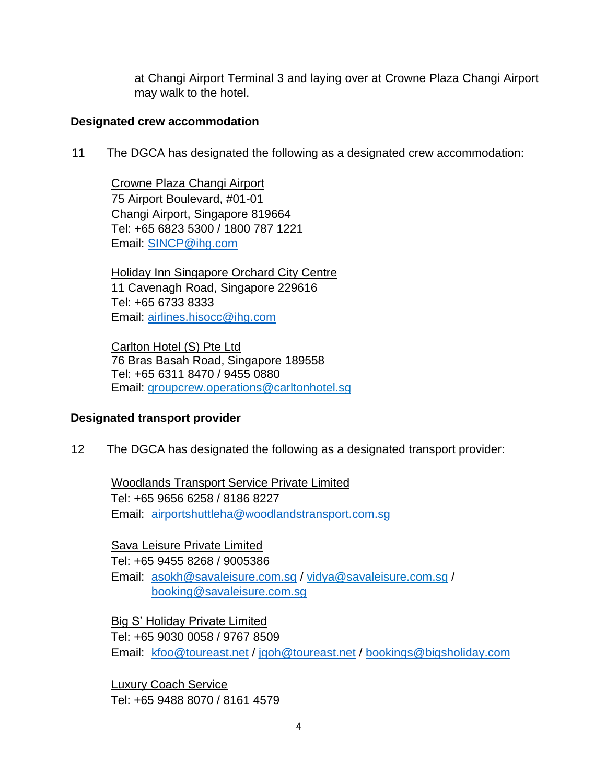at Changi Airport Terminal 3 and laying over at Crowne Plaza Changi Airport may walk to the hotel.

#### **Designated crew accommodation**

11 The DGCA has designated the following as a designated crew accommodation:

Crowne Plaza Changi Airport 75 Airport Boulevard, #01-01 Changi Airport, Singapore 819664 Tel: +65 6823 5300 / 1800 787 1221 Email: SINCP@ihg.com

Holiday Inn Singapore Orchard City Centre 11 Cavenagh Road, Singapore 229616 Tel: +65 6733 8333 Email: [airlines.hisocc@ihg.com](mailto:airlines.hisocc@ihg.com)

Carlton Hotel (S) Pte Ltd 76 Bras Basah Road, Singapore 189558 Tel: +65 6311 8470 / 9455 0880 Email: groupcrew.operations@carltonhotel.sg

# **Designated transport provider**

12 The DGCA has designated the following as a designated transport provider:

Woodlands Transport Service Private Limited Tel: +65 9656 6258 / 8186 8227 Email: [airportshuttleha@woodlandstransport.com.sg](mailto:airportshuttleha@woodlandstransport.com.sg)

Sava Leisure Private Limited Tel: +65 9455 8268 / 9005386 Email: [asokh@savaleisure.com.sg](mailto:asokh@savaleisure.com.sg) / [vidya@savaleisure.com.sg](mailto:vidya@savaleisure.com.sg) / [booking@savaleisure.com.sg](mailto:booking@savaleisure.com.sg)

Big S' Holiday Private Limited Tel: +65 9030 0058 / 9767 8509 Email: kfoo@toureast.net / jgoh@toureast.net [/ bookings@bigsholiday.com](mailto:kfoo@toureast.net%20/%20jgoh@toureast.net%20/%20bookings@bigsholiday.com)

Luxury Coach Service Tel: +65 9488 8070 / 8161 4579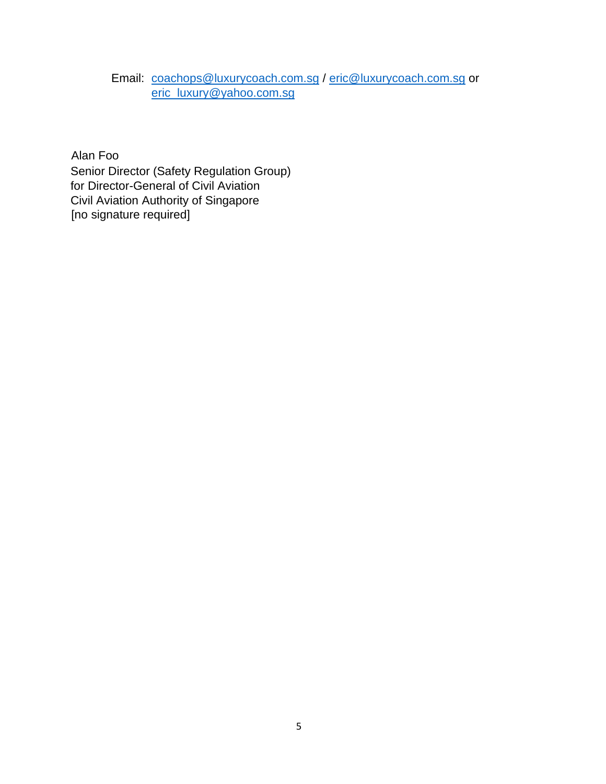# Email: [coachops@luxurycoach.com.sg](mailto:coachops@luxurycoach.com.sg) / [eric@luxurycoach.com.sg](mailto:eric@luxurycoach.com.sg) or [eric\\_luxury@yahoo.com.sg](mailto:eric_luxury@yahoo.com.sg)

Alan Foo Senior Director (Safety Regulation Group) for Director-General of Civil Aviation Civil Aviation Authority of Singapore [no signature required]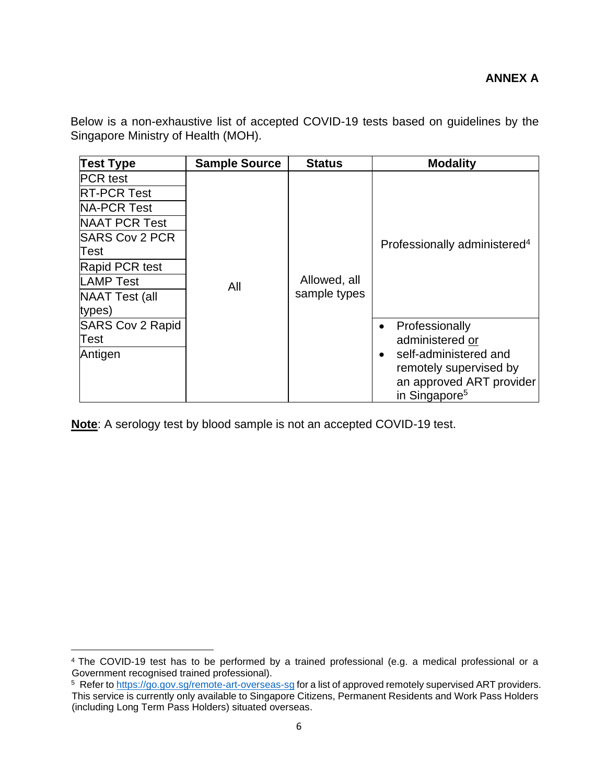Below is a non-exhaustive list of accepted COVID-19 tests based on guidelines by the Singapore Ministry of Health (MOH).

| <b>Test Type</b>        | <b>Sample Source</b> | <b>Status</b>                | <b>Modality</b>                          |
|-------------------------|----------------------|------------------------------|------------------------------------------|
| <b>PCR</b> test         | All                  | Allowed, all<br>sample types | Professionally administered <sup>4</sup> |
| <b>RT-PCR Test</b>      |                      |                              |                                          |
| <b>NA-PCR Test</b>      |                      |                              |                                          |
| <b>NAAT PCR Test</b>    |                      |                              |                                          |
| <b>SARS Cov 2 PCR</b>   |                      |                              |                                          |
| Test                    |                      |                              |                                          |
| Rapid PCR test          |                      |                              |                                          |
| <b>LAMP Test</b>        |                      |                              |                                          |
| NAAT Test (all          |                      |                              |                                          |
| types)                  |                      |                              |                                          |
| <b>SARS Cov 2 Rapid</b> |                      |                              | Professionally                           |
| Test                    |                      |                              | administered or                          |
| Antigen                 |                      |                              | self-administered and                    |
|                         |                      |                              | remotely supervised by                   |
|                         |                      |                              | an approved ART provider                 |
|                         |                      |                              | in Singapore <sup>5</sup>                |

**Note**: A serology test by blood sample is not an accepted COVID-19 test.

<sup>4</sup> The COVID-19 test has to be performed by a trained professional (e.g. a medical professional or a Government recognised trained professional).

<sup>&</sup>lt;sup>5</sup> Refer t[o https://go.gov.sg/remote-art-overseas-sg](https://go.gov.sg/remote-art-overseas-sg) for a list of approved remotely supervised ART providers. This service is currently only available to Singapore Citizens, Permanent Residents and Work Pass Holders (including Long Term Pass Holders) situated overseas.